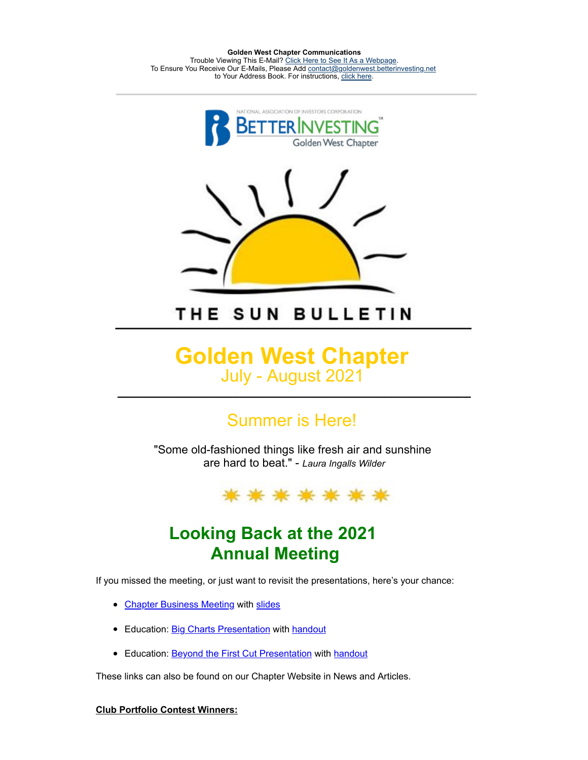**Golden West Chapter Communications** Trouble Viewing This E-Mail? [Click Here to See It As a Webpage.](https://lists.betterinvesting.org/display.php?M=2575420&C=303bad373250c96a4975847118bd08c1&L=175&N=15706) To Ensure You Receive Our E-Mails, Please Add [contact@goldenwest.betterinvesting.net](mailto:contact@goldenwest.betterinvesting.net) to Your Address Book. For instructions, [click here.](http://lists.betterinvesting.org/mailresources/images/whitelist/instructions.html)



THE SUN BULLETIN

### **Golden West Chapter** July - August 2021 **\_\_\_\_\_\_\_\_\_\_\_\_\_\_\_\_\_\_\_\_\_\_\_\_\_\_\_\_\_\_\_\_\_\_\_\_\_\_\_\_\_\_\_\_\_\_\_\_\_**

# Summer is Here!

"Some old-fashioned things like fresh air and sunshine are hard to beat." - *Laura Ingalls Wilder*



# **Looking Back at the 2021 Annual Meeting**

If you missed the meeting, or just want to revisit the presentations, here's your chance:

- [Chapter Business Meeting](https://register.gotowebinar.com/recording/5214117651467787011) with [slides](https://www.betterinvesting.org/getmedia/68a63073-75f6-477d-bbd3-4e6a4ca22ea0/2021-annual-meeting-slides.pdf)
- Education: [Big Charts Presentation](https://register.gotowebinar.com/recording/3632650494818886147) with [handout](about:blank)
- Education: **[Beyond the First Cut Presentation](https://register.gotowebinar.com/recording/4509445047272488961) with [handout](https://www.betterinvesting.org/getmedia/41bd8c61-8c1b-4c7e-a598-fb3a95e2fed4/beyond-the-first-cut-handout.pdf)**

These links can also be found on our Chapter Website in News and Articles.

#### **Club Portfolio Contest Winners:**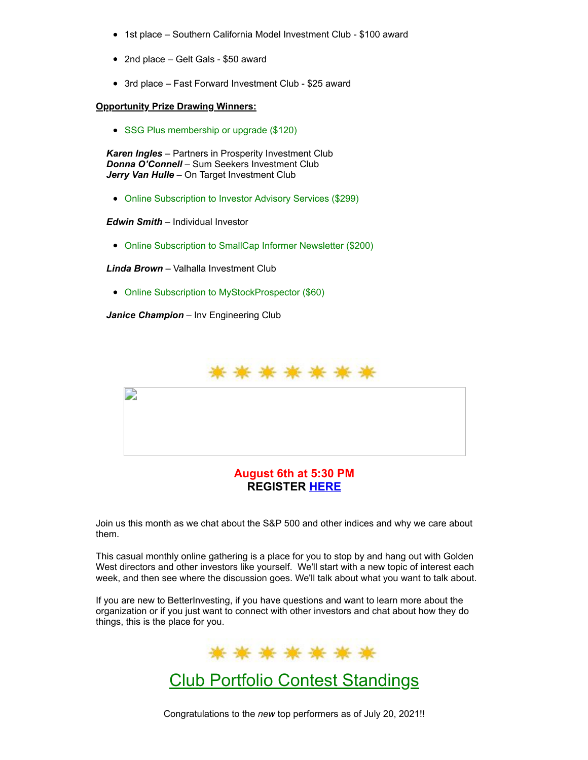- 1st place Southern California Model Investment Club \$100 award
- 2nd place Gelt Gals \$50 award
- 3rd place Fast Forward Investment Club \$25 award

#### **Opportunity Prize Drawing Winners:**

• SSG Plus membership or upgrade (\$120)

*Karen Ingles* – Partners in Prosperity Investment Club *Donna O'Connell* – Sum Seekers Investment Club *Jerry Van Hulle* – On Target Investment Club

Online Subscription to Investor Advisory Services (\$299)

*Edwin Smith* – Individual Investor

Online Subscription to SmallCap Informer Newsletter (\$200)

*Linda Brown* – Valhalla Investment Club

• Online Subscription to MyStockProspector (\$60)

*Janice Champion* – Inv Engineering Club



**REGISTER [HERE](https://attendee.gotowebinar.com/rt/1293829833685774348)**

Join us this month as we chat about the S&P 500 and other indices and why we care about them.

This casual monthly online gathering is a place for you to stop by and hang out with Golden West directors and other investors like yourself. We'll start with a new topic of interest each week, and then see where the discussion goes. We'll talk about what you want to talk about.

If you are new to BetterInvesting, if you have questions and want to learn more about the organization or if you just want to connect with other investors and chat about how they do things, this is the place for you.



## Club Portfolio Contest Standings

Congratulations to the *new* top performers as of July 20, 2021!!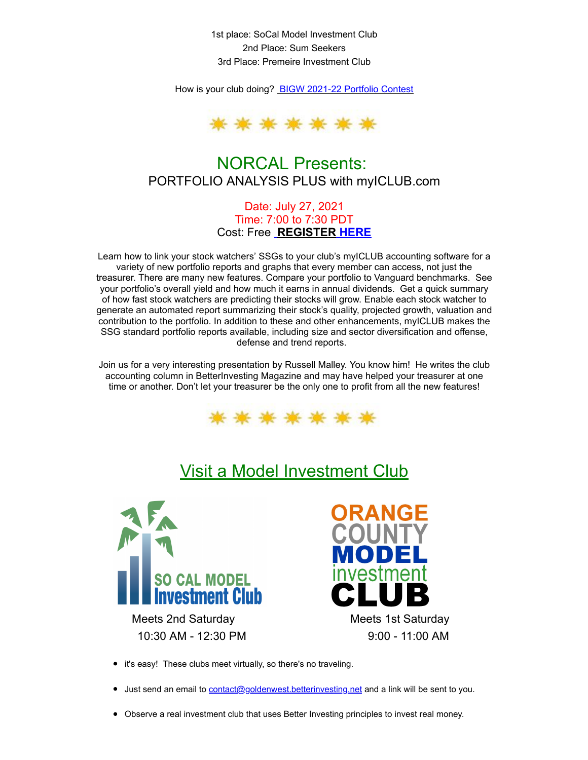1st place: SoCal Model Investment Club 2nd Place: Sum Seekers 3rd Place: Premeire Investment Club

How is your club doing? [BIGW 2021-22 Portfolio Contest](https://docs.google.com/spreadsheets/d/1oqHHQd1jHFFyMqragXQBEiLLcDVauOUt344eHINwf-c/edit#gid=116993658)



### NORCAL Presents: PORTFOLIO ANALYSIS PLUS with myICLUB.com

Date: July 27, 2021 Time: 7:00 to 7:30 PDT Cost: Free **REGISTER [HERE](https://lists.betterinvesting.org/admin/index.php?Page=Newsletters&Action=View&id=15706)**

Learn how to link your stock watchers' SSGs to your club's myICLUB accounting software for a variety of new portfolio reports and graphs that every member can access, not just the treasurer. There are many new features. Compare your portfolio to Vanguard benchmarks. See your portfolio's overall yield and how much it earns in annual dividends. Get a quick summary of how fast stock watchers are predicting their stocks will grow. Enable each stock watcher to generate an automated report summarizing their stock's quality, projected growth, valuation and contribution to the portfolio. In addition to these and other enhancements, myICLUB makes the SSG standard portfolio reports available, including size and sector diversification and offense, defense and trend reports.

Join us for a very interesting presentation by Russell Malley. You know him! He writes the club accounting column in BetterInvesting Magazine and may have helped your treasurer at one time or another. Don't let your treasurer be the only one to profit from all the new features!



# Visit a Model Investment Club



Meets 2nd Saturday Meets 1st Saturday 10:30 AM - 12:30 PM 9:00 - 11:00 AM



- it's easy! These clubs meet virtually, so there's no traveling.
- Just send an email to **contact@goldenwest.betterinvesting.net** and a link will be sent to you.
- Observe a real investment club that uses Better Investing principles to invest real money.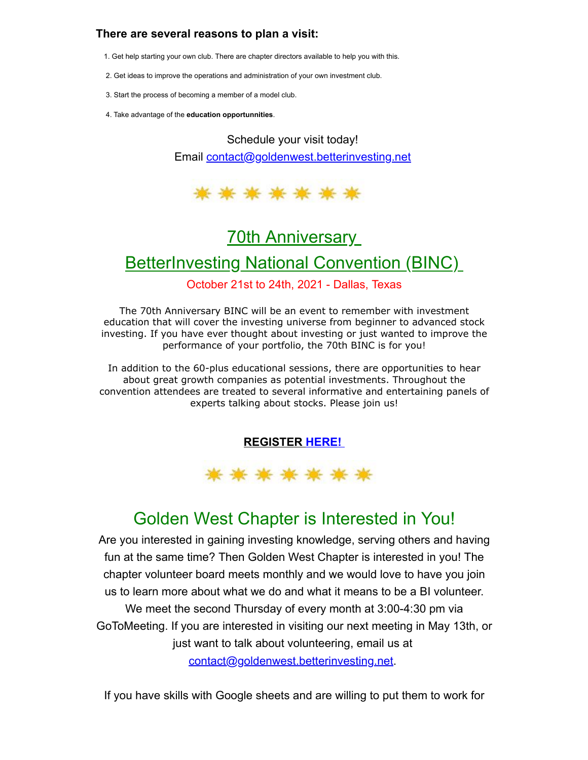### **There are several reasons to plan a visit:**

- 1. Get help starting your own club. There are chapter directors available to help you with this.
- 2. Get ideas to improve the operations and administration of your own investment club.
- 3. Start the process of becoming a member of a model club.
- 4. Take advantage of the **education opportunnities**.

Schedule your visit today! Email [contact@goldenwest.betterinvesting.net](mailto:contact@goldenwest.betterinvesting.net)



# **70th Anniversary**

## **BetterInvesting National Convention (BINC)**

#### October 21st to 24th, 2021 - Dallas, Texas

The 70th Anniversary BINC will be an event to remember with investment education that will cover the investing universe from beginner to advanced stock investing. If you have ever thought about investing or just wanted to improve the performance of your portfolio, the 70th BINC is for you!

In addition to the 60-plus educational sessions, there are opportunities to hear about great growth companies as potential investments. Throughout the convention attendees are treated to several informative and entertaining panels of experts talking about stocks. Please join us!

### **[REGISTER](https://hello.betterinvesting.org/binc2021) [HERE!](https://hello.betterinvesting.org/binc2021)**



# Golden West Chapter is Interested in You!

Are you interested in gaining investing knowledge, serving others and having fun at the same time? Then Golden West Chapter is interested in you! The chapter volunteer board meets monthly and we would love to have you join us to learn more about what we do and what it means to be a BI volunteer. We meet the second Thursday of every month at 3:00-4:30 pm via GoToMeeting. If you are interested in visiting our next meeting in May 13th, or just want to talk about volunteering, email us at [contact@goldenwest.betterinvesting.net.](mailto:contact@goldenwest.betterinvesting.net)

If you have skills with Google sheets and are willing to put them to work for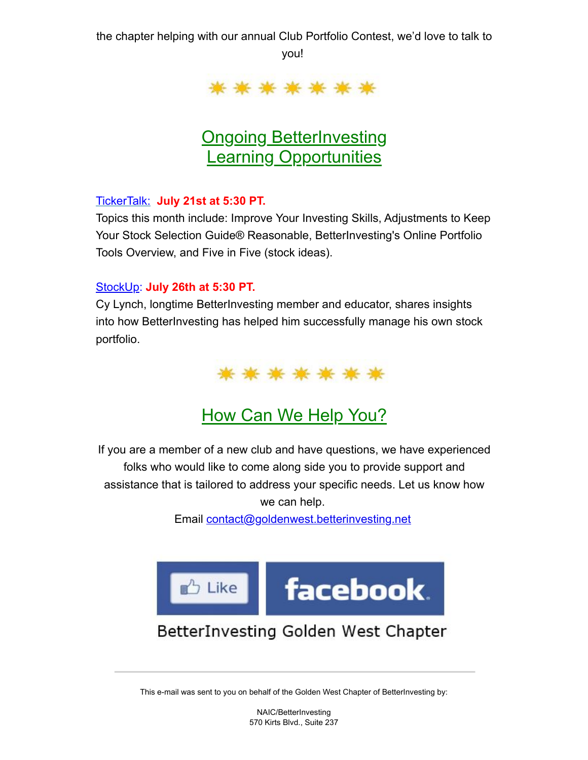the chapter helping with our annual Club Portfolio Contest, we'd love to talk to you!



# **Ongoing BetterInvesting Learning Opportunities**

### [TickerTalk:](https://www.betterinvesting.org/members/learning-center/video-learning-library/video-library?p=2024) **July 21st at 5:30 PT.**

Topics this month include: Improve Your Investing Skills, Adjustments to Keep Your Stock Selection Guide® Reasonable, BetterInvesting's Online Portfolio Tools Overview, and Five in Five (stock ideas).

### [StockUp](https://www.betterinvesting.org/members/learning-center/stockup): **July 26th at 5:30 PT.**

Cy Lynch, longtime BetterInvesting member and educator, shares insights into how BetterInvesting has helped him successfully manage his own stock portfolio.



# How Can We Help You?

If you are a member of a new club and have questions, we have experienced folks who would like to come along side you to provide support and assistance that is tailored to address your specific needs. Let us know how we can help.

Email [contact@goldenwest.betterinvesting.net](mailto:contact@goldenwest.betterinvesting.net)



## BetterInvesting Golden West Chapter

This e-mail was sent to you on behalf of the Golden West Chapter of BetterInvesting by:

NAIC/BetterInvesting 570 Kirts Blvd., Suite 237